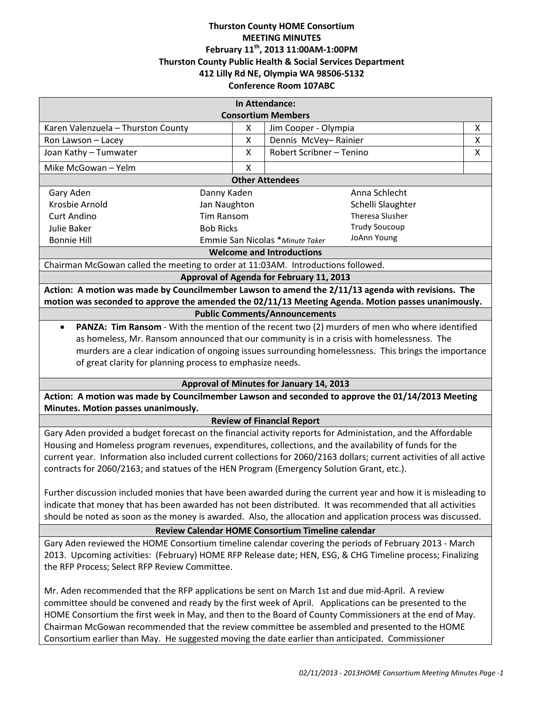# **Thurston County HOME Consortium MEETING MINUTES February 11th, 2013 11:00AM-1:00PM Thurston County Public Health & Social Services Department 412 Lilly Rd NE, Olympia WA 98506-5132 Conference Room 107ABC**

| In Attendance:                                                                                                                                                                                                                                                                                                                                                                                                                                                                                                             |        |                                                  |        |
|----------------------------------------------------------------------------------------------------------------------------------------------------------------------------------------------------------------------------------------------------------------------------------------------------------------------------------------------------------------------------------------------------------------------------------------------------------------------------------------------------------------------------|--------|--------------------------------------------------|--------|
| <b>Consortium Members</b>                                                                                                                                                                                                                                                                                                                                                                                                                                                                                                  |        |                                                  |        |
| Karen Valenzuela - Thurston County                                                                                                                                                                                                                                                                                                                                                                                                                                                                                         | X<br>X | Jim Cooper - Olympia                             | Χ<br>X |
| Ron Lawson - Lacey<br>Joan Kathy - Tumwater                                                                                                                                                                                                                                                                                                                                                                                                                                                                                | X      | Dennis McVey-Rainier<br>Robert Scribner - Tenino | X      |
|                                                                                                                                                                                                                                                                                                                                                                                                                                                                                                                            |        |                                                  |        |
| Mike McGowan - Yelm                                                                                                                                                                                                                                                                                                                                                                                                                                                                                                        | X      |                                                  |        |
| <b>Other Attendees</b><br>Danny Kaden                                                                                                                                                                                                                                                                                                                                                                                                                                                                                      |        |                                                  |        |
| Gary Aden                                                                                                                                                                                                                                                                                                                                                                                                                                                                                                                  |        | Anna Schlecht<br>Schelli Slaughter               |        |
| Krosbie Arnold<br>Jan Naughton                                                                                                                                                                                                                                                                                                                                                                                                                                                                                             |        | Theresa Slusher                                  |        |
| <b>Tim Ransom</b><br><b>Curt Andino</b><br>Julie Baker                                                                                                                                                                                                                                                                                                                                                                                                                                                                     |        | <b>Trudy Soucoup</b>                             |        |
| <b>Bob Ricks</b><br><b>Bonnie Hill</b>                                                                                                                                                                                                                                                                                                                                                                                                                                                                                     |        | JoAnn Young                                      |        |
| Emmie San Nicolas * Minute Taker<br><b>Welcome and Introductions</b>                                                                                                                                                                                                                                                                                                                                                                                                                                                       |        |                                                  |        |
| Chairman McGowan called the meeting to order at 11:03AM. Introductions followed.                                                                                                                                                                                                                                                                                                                                                                                                                                           |        |                                                  |        |
| Approval of Agenda for February 11, 2013                                                                                                                                                                                                                                                                                                                                                                                                                                                                                   |        |                                                  |        |
| Action: A motion was made by Councilmember Lawson to amend the 2/11/13 agenda with revisions. The                                                                                                                                                                                                                                                                                                                                                                                                                          |        |                                                  |        |
| motion was seconded to approve the amended the 02/11/13 Meeting Agenda. Motion passes unanimously.                                                                                                                                                                                                                                                                                                                                                                                                                         |        |                                                  |        |
| <b>Public Comments/Announcements</b>                                                                                                                                                                                                                                                                                                                                                                                                                                                                                       |        |                                                  |        |
| PANZA: Tim Ransom - With the mention of the recent two (2) murders of men who where identified<br>$\bullet$                                                                                                                                                                                                                                                                                                                                                                                                                |        |                                                  |        |
| as homeless, Mr. Ransom announced that our community is in a crisis with homelessness. The                                                                                                                                                                                                                                                                                                                                                                                                                                 |        |                                                  |        |
| murders are a clear indication of ongoing issues surrounding homelessness. This brings the importance                                                                                                                                                                                                                                                                                                                                                                                                                      |        |                                                  |        |
| of great clarity for planning process to emphasize needs.                                                                                                                                                                                                                                                                                                                                                                                                                                                                  |        |                                                  |        |
|                                                                                                                                                                                                                                                                                                                                                                                                                                                                                                                            |        |                                                  |        |
| Approval of Minutes for January 14, 2013                                                                                                                                                                                                                                                                                                                                                                                                                                                                                   |        |                                                  |        |
| Action: A motion was made by Councilmember Lawson and seconded to approve the 01/14/2013 Meeting<br>Minutes. Motion passes unanimously.                                                                                                                                                                                                                                                                                                                                                                                    |        |                                                  |        |
| <b>Review of Financial Report</b>                                                                                                                                                                                                                                                                                                                                                                                                                                                                                          |        |                                                  |        |
| Gary Aden provided a budget forecast on the financial activity reports for Administation, and the Affordable<br>Housing and Homeless program revenues, expenditures, collections, and the availability of funds for the<br>current year. Information also included current collections for 2060/2163 dollars; current activities of all active<br>contracts for 2060/2163; and statues of the HEN Program (Emergency Solution Grant, etc.).                                                                                |        |                                                  |        |
| Further discussion included monies that have been awarded during the current year and how it is misleading to<br>indicate that money that has been awarded has not been distributed. It was recommended that all activities<br>should be noted as soon as the money is awarded. Also, the allocation and application process was discussed.                                                                                                                                                                                |        |                                                  |        |
| Review Calendar HOME Consortium Timeline calendar                                                                                                                                                                                                                                                                                                                                                                                                                                                                          |        |                                                  |        |
| Gary Aden reviewed the HOME Consortium timeline calendar covering the periods of February 2013 - March<br>2013. Upcoming activities: (February) HOME RFP Release date; HEN, ESG, & CHG Timeline process; Finalizing<br>the RFP Process; Select RFP Review Committee.                                                                                                                                                                                                                                                       |        |                                                  |        |
| Mr. Aden recommended that the RFP applications be sent on March 1st and due mid-April. A review<br>committee should be convened and ready by the first week of April. Applications can be presented to the<br>HOME Consortium the first week in May, and then to the Board of County Commissioners at the end of May.<br>Chairman McGowan recommended that the review committee be assembled and presented to the HOME<br>Consortium earlier than May. He suggested moving the date earlier than anticipated. Commissioner |        |                                                  |        |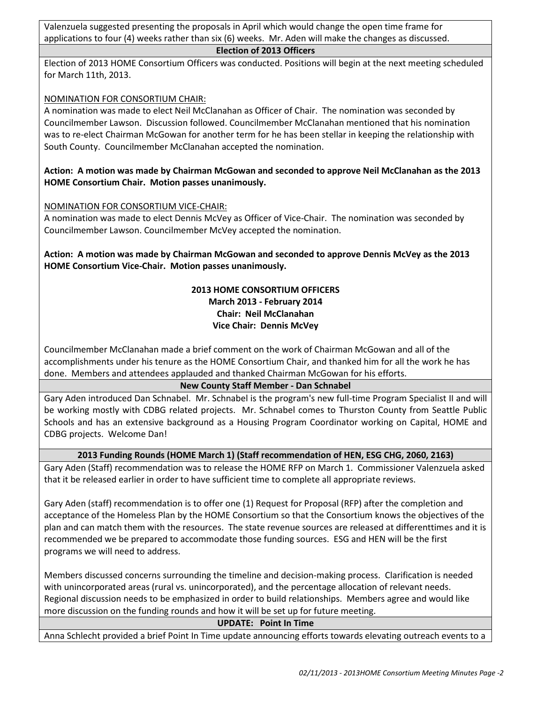Valenzuela suggested presenting the proposals in April which would change the open time frame for applications to four (4) weeks rather than six (6) weeks. Mr. Aden will make the changes as discussed.

# **Election of 2013 Officers**

Election of 2013 HOME Consortium Officers was conducted. Positions will begin at the next meeting scheduled for March 11th, 2013.

# NOMINATION FOR CONSORTIUM CHAIR:

A nomination was made to elect Neil McClanahan as Officer of Chair. The nomination was seconded by Councilmember Lawson. Discussion followed. Councilmember McClanahan mentioned that his nomination was to re-elect Chairman McGowan for another term for he has been stellar in keeping the relationship with South County. Councilmember McClanahan accepted the nomination.

# **Action: A motion was made by Chairman McGowan and seconded to approve Neil McClanahan as the 2013 HOME Consortium Chair. Motion passes unanimously.**

### NOMINATION FOR CONSORTIUM VICE-CHAIR:

A nomination was made to elect Dennis McVey as Officer of Vice-Chair. The nomination was seconded by Councilmember Lawson. Councilmember McVey accepted the nomination.

**Action: A motion was made by Chairman McGowan and seconded to approve Dennis McVey as the 2013 HOME Consortium Vice-Chair. Motion passes unanimously.** 

### **2013 HOME CONSORTIUM OFFICERS March 2013 - February 2014 Chair: Neil McClanahan Vice Chair: Dennis McVey**

Councilmember McClanahan made a brief comment on the work of Chairman McGowan and all of the accomplishments under his tenure as the HOME Consortium Chair, and thanked him for all the work he has done. Members and attendees applauded and thanked Chairman McGowan for his efforts.

# **New County Staff Member - Dan Schnabel**

Gary Aden introduced Dan Schnabel. Mr. Schnabel is the program's new full-time Program Specialist II and will be working mostly with CDBG related projects. Mr. Schnabel comes to Thurston County from Seattle Public Schools and has an extensive background as a Housing Program Coordinator working on Capital, HOME and CDBG projects. Welcome Dan!

# **2013 Funding Rounds (HOME March 1) (Staff recommendation of HEN, ESG CHG, 2060, 2163)**

Gary Aden (Staff) recommendation was to release the HOME RFP on March 1. Commissioner Valenzuela asked that it be released earlier in order to have sufficient time to complete all appropriate reviews.

Gary Aden (staff) recommendation is to offer one (1) Request for Proposal (RFP) after the completion and acceptance of the Homeless Plan by the HOME Consortium so that the Consortium knows the objectives of the plan and can match them with the resources. The state revenue sources are released at differenttimes and it is recommended we be prepared to accommodate those funding sources. ESG and HEN will be the first programs we will need to address.

Members discussed concerns surrounding the timeline and decision-making process. Clarification is needed with unincorporated areas (rural vs. unincorporated), and the percentage allocation of relevant needs. Regional discussion needs to be emphasized in order to build relationships. Members agree and would like more discussion on the funding rounds and how it will be set up for future meeting.

#### **UPDATE: Point In Time**

Anna Schlecht provided a brief Point In Time update announcing efforts towards elevating outreach events to a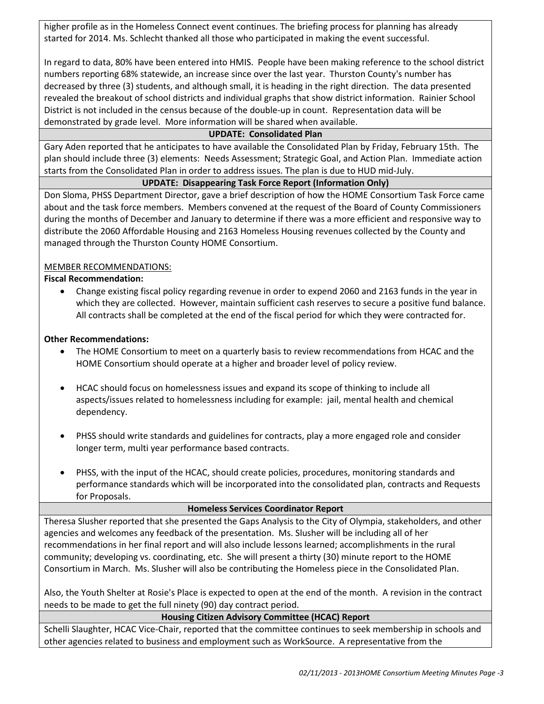higher profile as in the Homeless Connect event continues. The briefing process for planning has already started for 2014. Ms. Schlecht thanked all those who participated in making the event successful.

In regard to data, 80% have been entered into HMIS. People have been making reference to the school district numbers reporting 68% statewide, an increase since over the last year. Thurston County's number has decreased by three (3) students, and although small, it is heading in the right direction. The data presented revealed the breakout of school districts and individual graphs that show district information. Rainier School District is not included in the census because of the double-up in count. Representation data will be demonstrated by grade level. More information will be shared when available.

# **UPDATE: Consolidated Plan**

Gary Aden reported that he anticipates to have available the Consolidated Plan by Friday, February 15th. The plan should include three (3) elements: Needs Assessment; Strategic Goal, and Action Plan. Immediate action starts from the Consolidated Plan in order to address issues. The plan is due to HUD mid-July.

### **UPDATE: Disappearing Task Force Report (Information Only)**

Don Sloma, PHSS Department Director, gave a brief description of how the HOME Consortium Task Force came about and the task force members. Members convened at the request of the Board of County Commissioners during the months of December and January to determine if there was a more efficient and responsive way to distribute the 2060 Affordable Housing and 2163 Homeless Housing revenues collected by the County and managed through the Thurston County HOME Consortium.

### MEMBER RECOMMENDATIONS:

### **Fiscal Recommendation:**

• Change existing fiscal policy regarding revenue in order to expend 2060 and 2163 funds in the year in which they are collected. However, maintain sufficient cash reserves to secure a positive fund balance. All contracts shall be completed at the end of the fiscal period for which they were contracted for.

#### **Other Recommendations:**

- The HOME Consortium to meet on a quarterly basis to review recommendations from HCAC and the HOME Consortium should operate at a higher and broader level of policy review.
- HCAC should focus on homelessness issues and expand its scope of thinking to include all aspects/issues related to homelessness including for example: jail, mental health and chemical dependency.
- PHSS should write standards and guidelines for contracts, play a more engaged role and consider longer term, multi year performance based contracts.
- PHSS, with the input of the HCAC, should create policies, procedures, monitoring standards and performance standards which will be incorporated into the consolidated plan, contracts and Requests for Proposals.

#### **Homeless Services Coordinator Report**

Theresa Slusher reported that she presented the Gaps Analysis to the City of Olympia, stakeholders, and other agencies and welcomes any feedback of the presentation. Ms. Slusher will be including all of her recommendations in her final report and will also include lessons learned; accomplishments in the rural community; developing vs. coordinating, etc. She will present a thirty (30) minute report to the HOME Consortium in March. Ms. Slusher will also be contributing the Homeless piece in the Consolidated Plan.

Also, the Youth Shelter at Rosie's Place is expected to open at the end of the month. A revision in the contract needs to be made to get the full ninety (90) day contract period.

# **Housing Citizen Advisory Committee (HCAC) Report**

Schelli Slaughter, HCAC Vice-Chair, reported that the committee continues to seek membership in schools and other agencies related to business and employment such as WorkSource. A representative from the